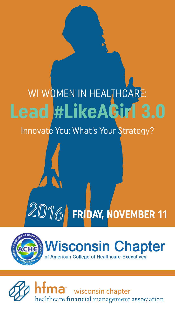# **Lead #LikeAGirl 3.0** WI WOMEN IN HEALTHCARE:

Innovate You: What's Your Strategy?



**FRIDAY, NOVEMBER 11**

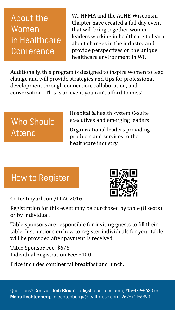## About the Women in Healthcare **Conference**

WI-HFMA and the ACHE-Wisconsin Chapter have created a full day event that will bring together women leaders working in healthcare to learn about changes in the industry and provide perspectives on the unique healthcare environment in WI.

Additionally, this program is designed to inspire women to lead change and will provide strategies and tips for professional development through connection, collaboration, and conversation. This is an event you can't afford to miss!

## Who Should Attend

Hospital & health system C-suite executives and emerging leaders

Organizational leaders providing products and services to the healthcare industry

## How to Register

Go to: [tinyurl.com/LLAG2016](http://tinyurl.com/LLAG2016)



Registration for this event may be purchased by table (8 seats) or by individual.

Table sponsors are responsible for inviting guests to fill their table. Instructions on how to register individuals for your table will be provided after payment is received.

Table Sponsor Fee: \$675 Individual Registration Fee: \$100

Price includes continental breakfast and lunch.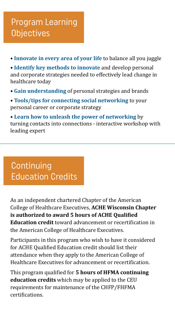## Program Learning **Objectives**

• **Innovate in every area of your life** to balance all you juggle

• **Identify key methods to innovate** and develop personal and corporate strategies needed to effectively lead change in healthcare today

- **Gain understanding** of personal strategies and brands
- **Tools/tips for connecting social networking** to your personal career or corporate strategy

• **Learn how to unleash the power of networking** by turning contacts into connections - interactive workshop with leading expert

## **Continuing** Education Credits

As an independent chartered Chapter of the American College of Healthcare Executives, **ACHE Wisconsin Chapter is authorized to award 5 hours of ACHE Qualified Education credit** toward advancement or recertification in the American College of Healthcare Executives.

Participants in this program who wish to have it considered for ACHE Qualified Education credit should list their attendance when they apply to the American College of Healthcare Executives for advancement or recertification.

This program qualified for **5 hours of HFMA continuing education credits** which may be applied to the CEU requirements for maintenance of the CHFP/FHFMA certifications.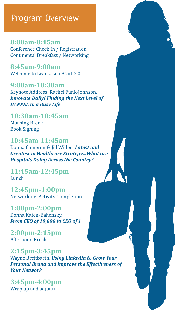### Program Overview

**8:00am-8:45am** Conference Check In / Registration Continental Breakfast / Networking

**8:45am-9:00am** Welcome to Lead #LikeAGirl 3.0

**9:00am-10:30am** Keynote Address: Rachel Funk-Johnson, *Innovate Daily! Finding the Next Level of HAPPEE in a Busy Life*

**10:30am-10:45am** Morning Break Book Signing

**10:45am-11:45am** Donna Cameron & Jill Willen, *Latest and Greatest in Healthcare Strategy…What are Hospitals Doing Across the Country?*

**11:45am-12:45pm**  Lunch

**12:45pm-1:00pm** Networking Activity Completion

**1:00pm-2:00pm** Donna Katen-Bahensky, *From CEO of 10,000 to CEO of 1*

**2:00pm-2:15pm** Afternoon Break

**2:15pm-3:45pm** Wayne Breitbarth, *Using LinkedIn to Grow Your Personal Brand and Improve the Effectiveness of Your Network*

**3:45pm-4:00pm** Wrap up and adjourn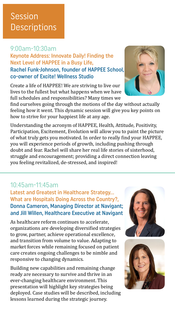## Session **Descriptions**

#### 9:00am-10:30am

Keynote Address: Innovate Daily! Finding the Next Level of HAPPEE in a Busy Life, Rachel Funk-Johnson, founder of HAPPEE School, co-owner of Excite! Wellness Studio

Create a life of HAPPEE! We are striving to live our lives to the fullest but what happens when we have full schedules and responsibilities? Many times we

find ourselves going through the motions of the day without actually feeling how it went. This dynamic session will give you key points on how to strive for your happiest life at any age.

Understanding the acronym of HAPPEE, Health, Attitude, Positivity, Participation, Excitement, Evolution will allow you to paint the picture of what truly gets you motivated. In order to really find your HAPPEE, you will experience periods of growth, including pushing through doubt and fear. Rachel will share her real life stories of sisterhood, struggle and encouragement; providing a direct connection leaving you feeling revitalized, de-stressed, and inspired!

#### 10:45am-11:45am

Latest and Greatest in Healthcare Strategy… What are Hospitals Doing Across the Country?, Donna Cameron, Managing Director at Navigant; and Jill Willen, Healthcare Executive at Navigant

As healthcare reform continues to accelerate, organizations are developing diversified strategies to grow, partner, achieve operational excellence, and transition from volume to value. Adapting to market forces while remaining focused on patient care creates ongoing challenges to be nimble and responsive to changing dynamics.

Building new capabilities and remaining change ready are necessary to survive and thrive in an ever-changing healthcare environment. This presentation will highlight key strategies being deployed. Case studies will be described, including lessons learned during the strategic journey.





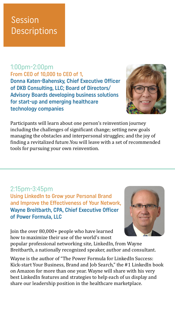## Session **Descriptions**

## 1:00pm-2:00pm

From CEO of 10,000 to CEO of 1, Donna Katen-Bahensky, Chief Executive Officer of DKB Consulting, LLC; Board of Directors/ Advisory Boards developing business solutions for start-up and emerging healthcare technology companies



Participants will learn about one person's reinvention journey including the challenges of significant change; setting new goals managing the obstacles and interpersonal struggles; and the joy of finding a revitalized future.You will leave with a set of recommended tools for pursuing your own reinvention.

#### 2:15pm-3:45pm

Using LinkedIn to Grow your Personal Brand and Improve the Effectiveness of Your Network, Wayne Breitbarth, CPA, Chief Executive Officer of Power Formula, LLC



Join the over 80,000+ people who have learned how to maximize their use of the world's most popular professional networking site, LinkedIn, from Wayne Breitbarth, a nationally recognized speaker, author and consultant.

Wayne is the author of "The Power Formula for LinkedIn Success: Kick-start Your Business, Brand and Job Search," the #1 LinkedIn book on Amazon for more than one year. Wayne will share with his very best LinkedIn features and strategies to help each of us display and share our leadership position in the healthcare marketplace.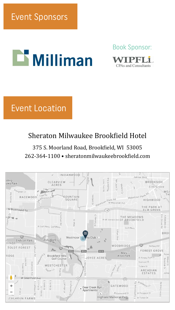# $\mathbf{\mathbf{\color{blue}\blacksquare}}$  Milliman

Book Sponsor:



## Event Location

#### Sheraton Milwaukee Brookfield Hotel

#### 375 S. Moorland Road, Brookfield, WI 53005 262-364-1100 • s[heratonmilwaukeebrookfield.com](http://sheratonmilwaukeebrookfield.com)